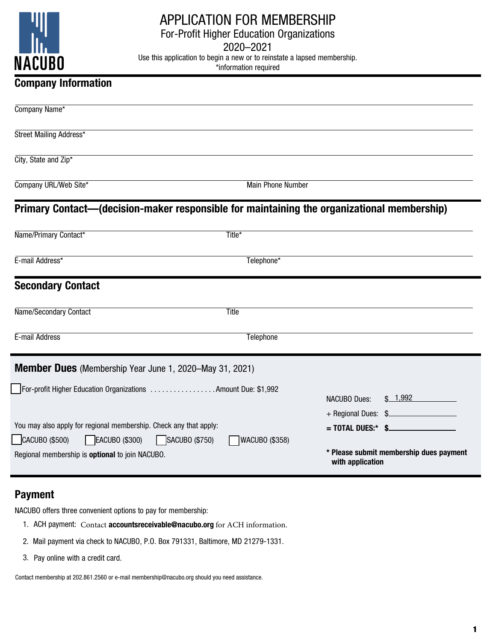

## APPLICATION FOR MEMBERSHIP

For-Profit Higher Education Organizations

2020–2021

Use this application to begin a new or to reinstate a lapsed membership.

\*information required

## Company Information

| Company Name*                                                                              |                          |                      |                                         |
|--------------------------------------------------------------------------------------------|--------------------------|----------------------|-----------------------------------------|
| Street Mailing Address*                                                                    |                          |                      |                                         |
| City, State and Zip*                                                                       |                          |                      |                                         |
| Company URL/Web Site*                                                                      | <b>Main Phone Number</b> |                      |                                         |
| Primary Contact—(decision-maker responsible for maintaining the organizational membership) |                          |                      |                                         |
| Name/Primary Contact*                                                                      | Title*                   |                      |                                         |
| E-mail Address*                                                                            | Telephone*               |                      |                                         |
| <b>Secondary Contact</b>                                                                   |                          |                      |                                         |
| Name/Secondary Contact                                                                     | Title                    |                      |                                         |
| E-mail Address                                                                             | Telephone                |                      |                                         |
| <b>Member Dues</b> (Membership Year June 1, 2020–May 31, 2021)                             |                          |                      |                                         |
| For-profit Higher Education Organizations Amount Due: \$1,992                              |                          |                      |                                         |
|                                                                                            |                          | <b>NACUBO Dues:</b>  | \$1,992                                 |
|                                                                                            |                          | + Regional Dues: \$  |                                         |
| You may also apply for regional membership. Check any that apply:                          |                          | $=$ TOTAL DUES:* \$. |                                         |
| CACUBO (\$500)<br>EACUBO (\$300)<br>$\log_{10}(\$750)$                                     | <b>WACUBO (\$358)</b>    |                      |                                         |
| Regional membership is optional to join NACUBO.                                            |                          | with application     | * Please submit membership dues payment |

## Payment

NACUBO offers three convenient options to pay for membership:

- 1. ACH payment: Contact accountsreceivable@nacubo.org for ACH information.
- 2. Mail payment via check to NACUBO, P.O. Box 791331, Baltimore, MD 21279-1331.
- 3. Pay online with a credit card.

Contact membership at 202.861.2560 or e-mail membership@nacubo.org should you need assistance.